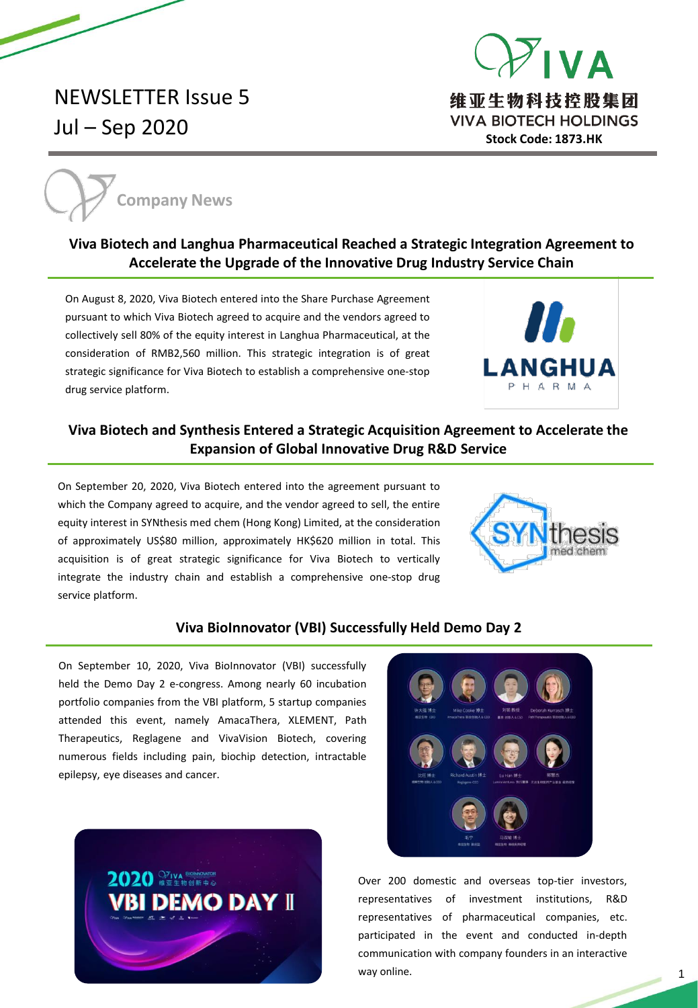



维亚生物科技控股集团 **VIVA BIOTECH HOLDINGS Stock Code: 1873.HK**



## **Viva Biotech and Langhua Pharmaceutical Reached a Strategic Integration Agreement to Accelerate the Upgrade of the Innovative Drug Industry Service Chain**

On August 8, 2020, Viva Biotech entered into the Share Purchase Agreement pursuant to which Viva Biotech agreed to acquire and the vendors agreed to collectively sell 80% of the equity interest in Langhua Pharmaceutical, at the consideration of RMB2,560 million. This strategic integration is of great strategic significance for Viva Biotech to establish a comprehensive one-stop drug service platform.



# **Viva Biotech and Synthesis Entered a Strategic Acquisition Agreement to Accelerate the Expansion of Global Innovative Drug R&D Service**

On September 20, 2020, Viva Biotech entered into the agreement pursuant to which the Company agreed to acquire, and the vendor agreed to sell, the entire equity interest in SYNthesis med chem (Hong Kong) Limited, at the consideration of approximately US\$80 million, approximately HK\$620 million in total. This acquisition is of great strategic significance for Viva Biotech to vertically integrate the industry chain and establish a comprehensive one-stop drug service platform.



#### **Viva BioInnovator (VBI) Successfully Held Demo Day 2**

On September 10, 2020, Viva BioInnovator (VBI) successfully held the Demo Day 2 e-congress. Among nearly 60 incubation portfolio companies from the VBI platform, 5 startup companies attended this event, namely AmacaThera, XLEMENT, Path Therapeutics, Reglagene and VivaVision Biotech, covering numerous fields including pain, biochip detection, intractable epilepsy, eye diseases and cancer.





Over 200 domestic and overseas top-tier investors, representatives of investment institutions, R&D representatives of pharmaceutical companies, etc. participated in the event and conducted in-depth communication with company founders in an interactive way online.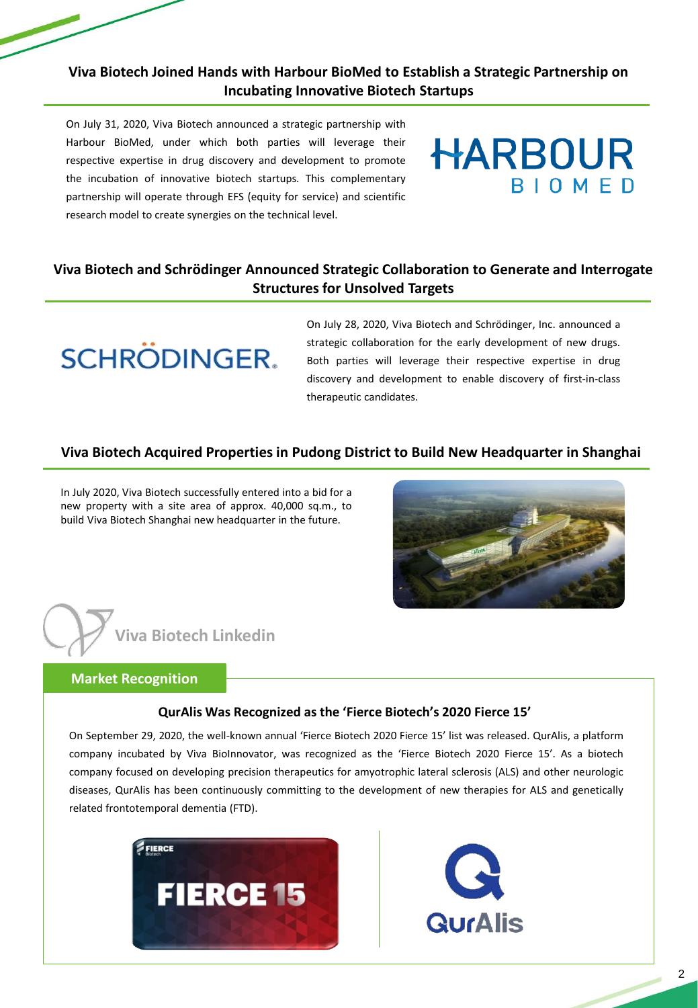## **Viva Biotech Joined Hands with Harbour BioMed to Establish a Strategic Partnership on Incubating Innovative Biotech Startups**

On July 31, 2020, Viva Biotech announced a strategic partnership with Harbour BioMed, under which both parties will leverage their respective expertise in drug discovery and development to promote the incubation of innovative biotech startups. This complementary partnership will operate through EFS (equity for service) and scientific research model to create synergies on the technical level.

# **HARBOUR BIOMED**

# **Viva Biotech and Schrödinger Announced Strategic Collaboration to Generate and Interrogate Structures for Unsolved Targets**



On July 28, 2020, Viva Biotech and Schrödinger, Inc. announced a strategic collaboration for the early development of new drugs. Both parties will leverage their respective expertise in drug discovery and development to enable discovery of first-in-class therapeutic candidates.

#### **Viva Biotech Acquired Properties in Pudong District to Build New Headquarter in Shanghai**

In July 2020, Viva Biotech successfully entered into a bid for a new property with a site area of approx. 40,000 sq.m., to build Viva Biotech Shanghai new headquarter in the future.



# **Viva Biotech Linkedin**

#### **Market Recognition**

#### **QurAlis Was Recognized as the 'Fierce Biotech's 2020 Fierce 15'**

On September 29, 2020, the well-known annual 'Fierce Biotech 2020 Fierce 15' list was released. QurAlis, a platform company incubated by Viva BioInnovator, was recognized as the 'Fierce Biotech 2020 Fierce 15'. As a biotech company focused on developing precision therapeutics for amyotrophic lateral sclerosis (ALS) and other neurologic diseases, QurAlis has been continuously committing to the development of new therapies for ALS and genetically related frontotemporal dementia (FTD).